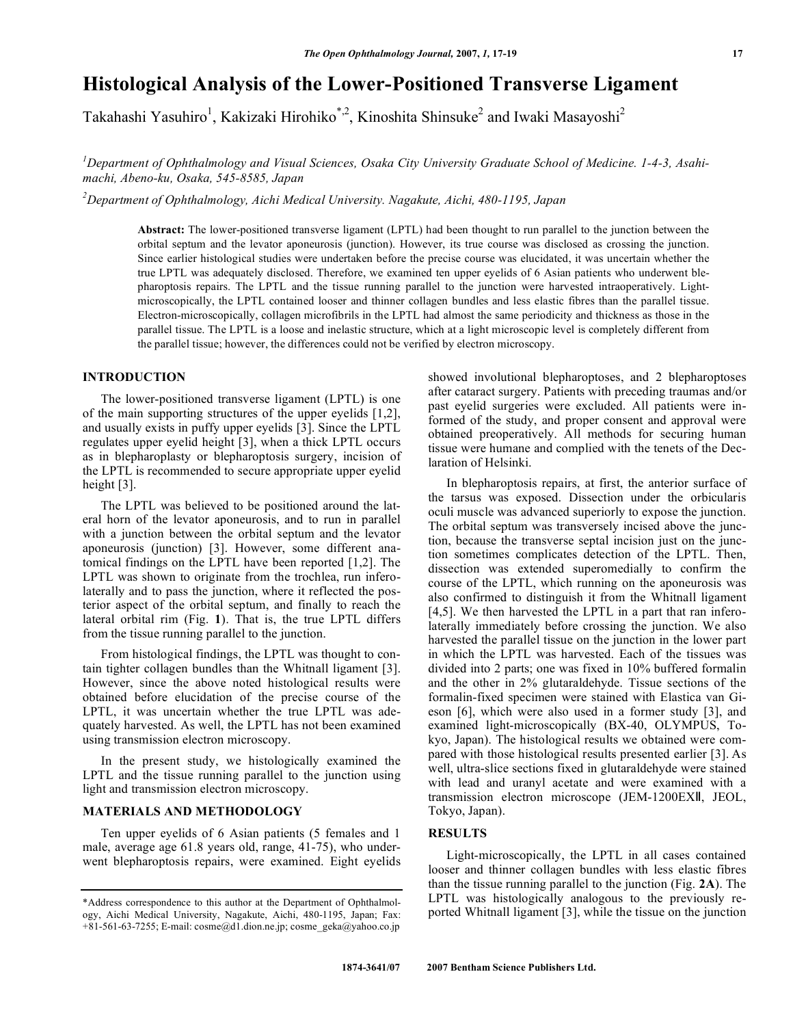# **Histological Analysis of the Lower-Positioned Transverse Ligament**

Takahashi Yasuhiro<sup>1</sup>, Kakizaki Hirohiko<sup>\*,2</sup>, Kinoshita Shinsuke<sup>2</sup> and Iwaki Masayoshi<sup>2</sup>

*1 Department of Ophthalmology and Visual Sciences, Osaka City University Graduate School of Medicine. 1-4-3, Asahimachi, Abeno-ku, Osaka, 545-8585, Japan* 

*2 Department of Ophthalmology, Aichi Medical University. Nagakute, Aichi, 480-1195, Japan* 

**Abstract:** The lower-positioned transverse ligament (LPTL) had been thought to run parallel to the junction between the orbital septum and the levator aponeurosis (junction). However, its true course was disclosed as crossing the junction. Since earlier histological studies were undertaken before the precise course was elucidated, it was uncertain whether the true LPTL was adequately disclosed. Therefore, we examined ten upper eyelids of 6 Asian patients who underwent blepharoptosis repairs. The LPTL and the tissue running parallel to the junction were harvested intraoperatively. Lightmicroscopically, the LPTL contained looser and thinner collagen bundles and less elastic fibres than the parallel tissue. Electron-microscopically, collagen microfibrils in the LPTL had almost the same periodicity and thickness as those in the parallel tissue. The LPTL is a loose and inelastic structure, which at a light microscopic level is completely different from the parallel tissue; however, the differences could not be verified by electron microscopy.

### **INTRODUCTION**

 The lower-positioned transverse ligament (LPTL) is one of the main supporting structures of the upper eyelids [1,2], and usually exists in puffy upper eyelids [3]. Since the LPTL regulates upper eyelid height [3], when a thick LPTL occurs as in blepharoplasty or blepharoptosis surgery, incision of the LPTL is recommended to secure appropriate upper eyelid height [3].

 The LPTL was believed to be positioned around the lateral horn of the levator aponeurosis, and to run in parallel with a junction between the orbital septum and the levator aponeurosis (junction) [3]. However, some different anatomical findings on the LPTL have been reported [1,2]. The LPTL was shown to originate from the trochlea, run inferolaterally and to pass the junction, where it reflected the posterior aspect of the orbital septum, and finally to reach the lateral orbital rim (Fig. **1**). That is, the true LPTL differs from the tissue running parallel to the junction.

 From histological findings, the LPTL was thought to contain tighter collagen bundles than the Whitnall ligament [3]. However, since the above noted histological results were obtained before elucidation of the precise course of the LPTL, it was uncertain whether the true LPTL was adequately harvested. As well, the LPTL has not been examined using transmission electron microscopy.

 In the present study, we histologically examined the LPTL and the tissue running parallel to the junction using light and transmission electron microscopy.

## **MATERIALS AND METHODOLOGY**

 Ten upper eyelids of 6 Asian patients (5 females and 1 male, average age 61.8 years old, range, 41-75), who underwent blepharoptosis repairs, were examined. Eight eyelids showed involutional blepharoptoses, and 2 blepharoptoses after cataract surgery. Patients with preceding traumas and/or past eyelid surgeries were excluded. All patients were informed of the study, and proper consent and approval were obtained preoperatively. All methods for securing human tissue were humane and complied with the tenets of the Declaration of Helsinki.

 In blepharoptosis repairs, at first, the anterior surface of the tarsus was exposed. Dissection under the orbicularis oculi muscle was advanced superiorly to expose the junction. The orbital septum was transversely incised above the junction, because the transverse septal incision just on the junction sometimes complicates detection of the LPTL. Then, dissection was extended superomedially to confirm the course of the LPTL, which running on the aponeurosis was also confirmed to distinguish it from the Whitnall ligament [4,5]. We then harvested the LPTL in a part that ran inferolaterally immediately before crossing the junction. We also harvested the parallel tissue on the junction in the lower part in which the LPTL was harvested. Each of the tissues was divided into 2 parts; one was fixed in 10% buffered formalin and the other in 2% glutaraldehyde. Tissue sections of the formalin-fixed specimen were stained with Elastica van Gieson [6], which were also used in a former study [3], and examined light-microscopically (BX-40, OLYMPUS, Tokyo, Japan). The histological results we obtained were compared with those histological results presented earlier [3]. As well, ultra-slice sections fixed in glutaraldehyde were stained with lead and uranyl acetate and were examined with a transmission electron microscope (JEM-1200EXII, JEOL, Tokyo, Japan).

# **RESULTS**

 Light-microscopically, the LPTL in all cases contained looser and thinner collagen bundles with less elastic fibres than the tissue running parallel to the junction (Fig. **2A**). The LPTL was histologically analogous to the previously reported Whitnall ligament [3], while the tissue on the junction

<sup>\*</sup>Address correspondence to this author at the Department of Ophthalmology, Aichi Medical University, Nagakute, Aichi, 480-1195, Japan; Fax: +81-561-63-7255; E-mail: cosme@d1.dion.ne.jp; cosme\_geka@yahoo.co.jp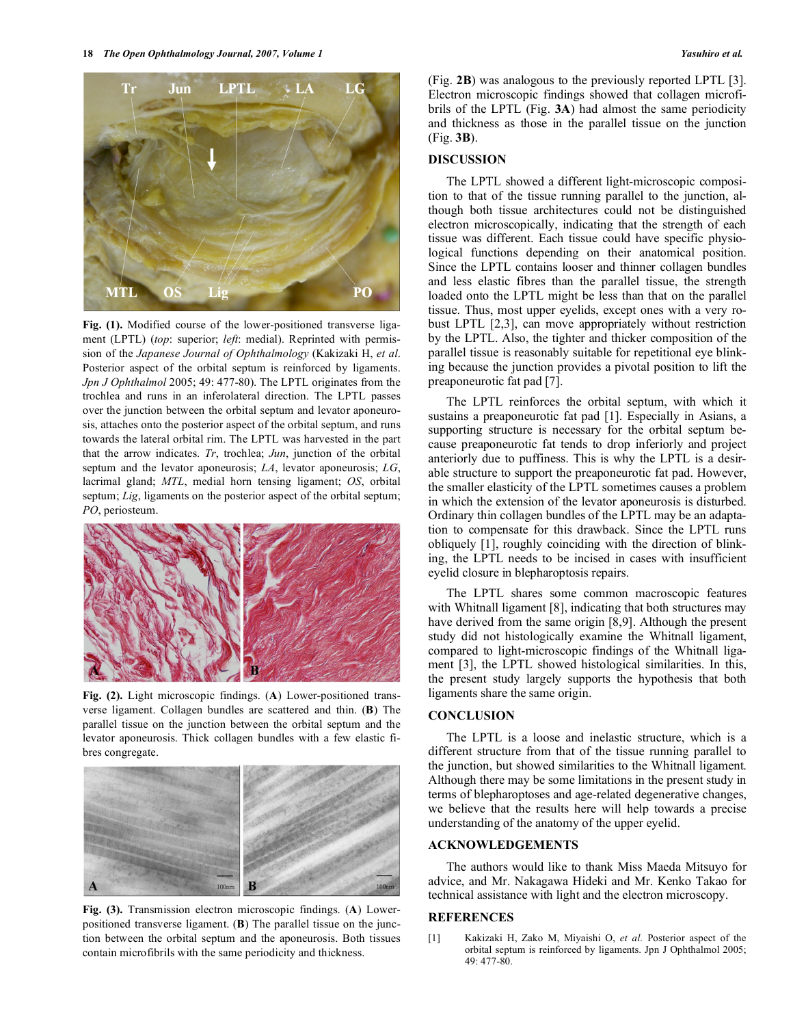

**Fig. (1).** Modified course of the lower-positioned transverse ligament (LPTL) (*top*: superior; *left*: medial). Reprinted with permission of the *Japanese Journal of Ophthalmology* (Kakizaki H, *et al*. Posterior aspect of the orbital septum is reinforced by ligaments. *Jpn J Ophthalmol* 2005; 49: 477-80). The LPTL originates from the trochlea and runs in an inferolateral direction. The LPTL passes over the junction between the orbital septum and levator aponeurosis, attaches onto the posterior aspect of the orbital septum, and runs towards the lateral orbital rim. The LPTL was harvested in the part that the arrow indicates. *Tr*, trochlea; *Jun*, junction of the orbital septum and the levator aponeurosis; *LA*, levator aponeurosis; *LG*, lacrimal gland; *MTL*, medial horn tensing ligament; *OS*, orbital septum; *Lig*, ligaments on the posterior aspect of the orbital septum; *PO*, periosteum.



**Fig. (2).** Light microscopic findings. (**A**) Lower-positioned transverse ligament. Collagen bundles are scattered and thin. (**B**) The parallel tissue on the junction between the orbital septum and the levator aponeurosis. Thick collagen bundles with a few elastic fibres congregate.



**Fig. (3).** Transmission electron microscopic findings. (**A**) Lowerpositioned transverse ligament. (**B**) The parallel tissue on the junction between the orbital septum and the aponeurosis. Both tissues contain microfibrils with the same periodicity and thickness.

(Fig. **2B**) was analogous to the previously reported LPTL [3]. Electron microscopic findings showed that collagen microfibrils of the LPTL (Fig. **3A**) had almost the same periodicity and thickness as those in the parallel tissue on the junction (Fig. **3B**).

#### **DISCUSSION**

 The LPTL showed a different light-microscopic composition to that of the tissue running parallel to the junction, although both tissue architectures could not be distinguished electron microscopically, indicating that the strength of each tissue was different. Each tissue could have specific physiological functions depending on their anatomical position. Since the LPTL contains looser and thinner collagen bundles and less elastic fibres than the parallel tissue, the strength loaded onto the LPTL might be less than that on the parallel tissue. Thus, most upper eyelids, except ones with a very robust LPTL [2,3], can move appropriately without restriction by the LPTL. Also, the tighter and thicker composition of the parallel tissue is reasonably suitable for repetitional eye blinking because the junction provides a pivotal position to lift the preaponeurotic fat pad [7].

 The LPTL reinforces the orbital septum, with which it sustains a preaponeurotic fat pad [1]. Especially in Asians, a supporting structure is necessary for the orbital septum because preaponeurotic fat tends to drop inferiorly and project anteriorly due to puffiness. This is why the LPTL is a desirable structure to support the preaponeurotic fat pad. However, the smaller elasticity of the LPTL sometimes causes a problem in which the extension of the levator aponeurosis is disturbed. Ordinary thin collagen bundles of the LPTL may be an adaptation to compensate for this drawback. Since the LPTL runs obliquely [1], roughly coinciding with the direction of blinking, the LPTL needs to be incised in cases with insufficient eyelid closure in blepharoptosis repairs.

 The LPTL shares some common macroscopic features with Whitnall ligament [8], indicating that both structures may have derived from the same origin [8,9]. Although the present study did not histologically examine the Whitnall ligament, compared to light-microscopic findings of the Whitnall ligament [3], the LPTL showed histological similarities. In this, the present study largely supports the hypothesis that both ligaments share the same origin.

#### **CONCLUSION**

 The LPTL is a loose and inelastic structure, which is a different structure from that of the tissue running parallel to the junction, but showed similarities to the Whitnall ligament. Although there may be some limitations in the present study in terms of blepharoptoses and age-related degenerative changes, we believe that the results here will help towards a precise understanding of the anatomy of the upper eyelid.

#### **ACKNOWLEDGEMENTS**

 The authors would like to thank Miss Maeda Mitsuyo for advice, and Mr. Nakagawa Hideki and Mr. Kenko Takao for technical assistance with light and the electron microscopy.

# **REFERENCES**

[1] Kakizaki H, Zako M, Miyaishi O, *et al.* Posterior aspect of the orbital septum is reinforced by ligaments. Jpn J Ophthalmol 2005; 49: 477-80.